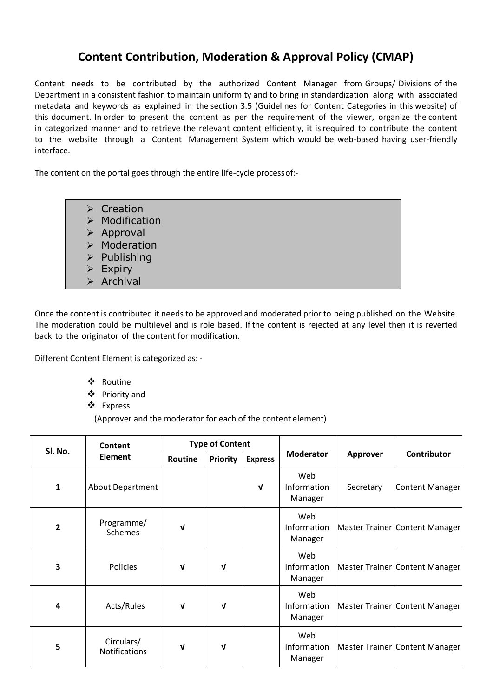## **Content Contribution, Moderation & Approval Policy (CMAP)**

Content needs to be contributed by the authorized Content Manager from Groups/ Divisions of the Department in a consistent fashion to maintain uniformity and to bring in standardization along with associated metadata and keywords as explained in the section 3.5 (Guidelines for Content Categories in this website) of this document. In order to present the content as per the requirement of the viewer, organize the content in categorized manner and to retrieve the relevant content efficiently, it isrequired to contribute the content to the website through a Content Management System which would be web-based having user-friendly interface.

The content on the portal goes through the entire life-cycle processof:-

|                       | $\triangleright$ Creation     |
|-----------------------|-------------------------------|
|                       | $\triangleright$ Modification |
|                       | $\triangleright$ Approval     |
|                       | > Moderation                  |
|                       | $\triangleright$ Publishing   |
| $\blacktriangleright$ | Expiry                        |
|                       | $\triangleright$ Archival     |

Once the content is contributed it needs to be approved and moderated prior to being published on the Website. The moderation could be multilevel and is role based. If the content is rejected at any level then it is reverted back to the originator of the content for modification.

Different Content Element is categorized as: -

- Routine
- Priority and
- Express

(Approver and the moderator for each of the content element)

| Sl. No.        | Content<br><b>Element</b>          | <b>Type of Content</b> |                 |                |                               |                 |                                |
|----------------|------------------------------------|------------------------|-----------------|----------------|-------------------------------|-----------------|--------------------------------|
|                |                                    | Routine                | <b>Priority</b> | <b>Express</b> | <b>Moderator</b>              | <b>Approver</b> | Contributor                    |
| 1              | About Department                   |                        |                 | $\mathbf v$    | Web<br>Information<br>Manager | Secretary       | Content Manager                |
| $\overline{2}$ | Programme/<br><b>Schemes</b>       | V                      |                 |                | Web<br>Information<br>Manager |                 | Master Trainer Content Manager |
| 3              | Policies                           | ν                      | V               |                | Web<br>Information<br>Manager |                 | Master Trainer Content Manager |
| 4              | Acts/Rules                         | V                      | V               |                | Web<br>Information<br>Manager |                 | Master Trainer Content Manager |
| 5              | Circulars/<br><b>Notifications</b> | ν                      | V               |                | Web<br>Information<br>Manager |                 | Master Trainer Content Manager |